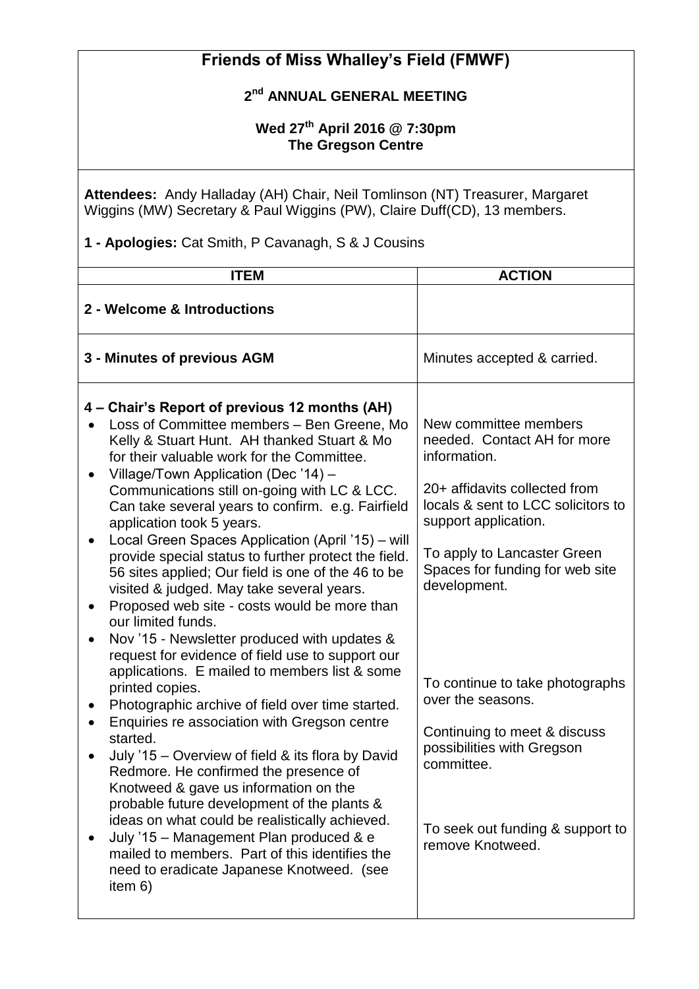## **Friends of Miss Whalley's Field (FMWF)**

## **2 nd ANNUAL GENERAL MEETING**

**Wed 27th April 2016 @ 7:30pm The Gregson Centre** 

**Attendees:** Andy Halladay (AH) Chair, Neil Tomlinson (NT) Treasurer, Margaret Wiggins (MW) Secretary & Paul Wiggins (PW), Claire Duff(CD), 13 members.

## **1 - Apologies:** Cat Smith, P Cavanagh, S & J Cousins

| <b>ITEM</b>                                                                                                                                                                                                                                                                                                                                                                                                                                                                                                                                                                                                                                                                                                                                                                                                                                                                                                                                                                                                                                                                                                                                                                                                                                                                                                                                     | <b>ACTION</b>                                                                                                                                                                                                                                                                                                                                                                                                                                     |  |
|-------------------------------------------------------------------------------------------------------------------------------------------------------------------------------------------------------------------------------------------------------------------------------------------------------------------------------------------------------------------------------------------------------------------------------------------------------------------------------------------------------------------------------------------------------------------------------------------------------------------------------------------------------------------------------------------------------------------------------------------------------------------------------------------------------------------------------------------------------------------------------------------------------------------------------------------------------------------------------------------------------------------------------------------------------------------------------------------------------------------------------------------------------------------------------------------------------------------------------------------------------------------------------------------------------------------------------------------------|---------------------------------------------------------------------------------------------------------------------------------------------------------------------------------------------------------------------------------------------------------------------------------------------------------------------------------------------------------------------------------------------------------------------------------------------------|--|
| 2 - Welcome & Introductions                                                                                                                                                                                                                                                                                                                                                                                                                                                                                                                                                                                                                                                                                                                                                                                                                                                                                                                                                                                                                                                                                                                                                                                                                                                                                                                     |                                                                                                                                                                                                                                                                                                                                                                                                                                                   |  |
| 3 - Minutes of previous AGM                                                                                                                                                                                                                                                                                                                                                                                                                                                                                                                                                                                                                                                                                                                                                                                                                                                                                                                                                                                                                                                                                                                                                                                                                                                                                                                     | Minutes accepted & carried.                                                                                                                                                                                                                                                                                                                                                                                                                       |  |
| 4 – Chair's Report of previous 12 months (AH)<br>Loss of Committee members - Ben Greene, Mo<br>Kelly & Stuart Hunt. AH thanked Stuart & Mo<br>for their valuable work for the Committee.<br>Village/Town Application (Dec '14) -<br>Communications still on-going with LC & LCC.<br>Can take several years to confirm. e.g. Fairfield<br>application took 5 years.<br>Local Green Spaces Application (April '15) – will<br>provide special status to further protect the field.<br>56 sites applied; Our field is one of the 46 to be<br>visited & judged. May take several years.<br>Proposed web site - costs would be more than<br>our limited funds.<br>Nov '15 - Newsletter produced with updates &<br>request for evidence of field use to support our<br>applications. E mailed to members list & some<br>printed copies.<br>Photographic archive of field over time started.<br>Enquiries re association with Gregson centre<br>started.<br>July '15 – Overview of field & its flora by David<br>Redmore. He confirmed the presence of<br>Knotweed & gave us information on the<br>probable future development of the plants &<br>ideas on what could be realistically achieved.<br>July '15 - Management Plan produced & e<br>mailed to members. Part of this identifies the<br>need to eradicate Japanese Knotweed. (see<br>item $6)$ | New committee members<br>needed. Contact AH for more<br>information.<br>20+ affidavits collected from<br>locals & sent to LCC solicitors to<br>support application.<br>To apply to Lancaster Green<br>Spaces for funding for web site<br>development.<br>To continue to take photographs<br>over the seasons.<br>Continuing to meet & discuss<br>possibilities with Gregson<br>committee.<br>To seek out funding & support to<br>remove Knotweed. |  |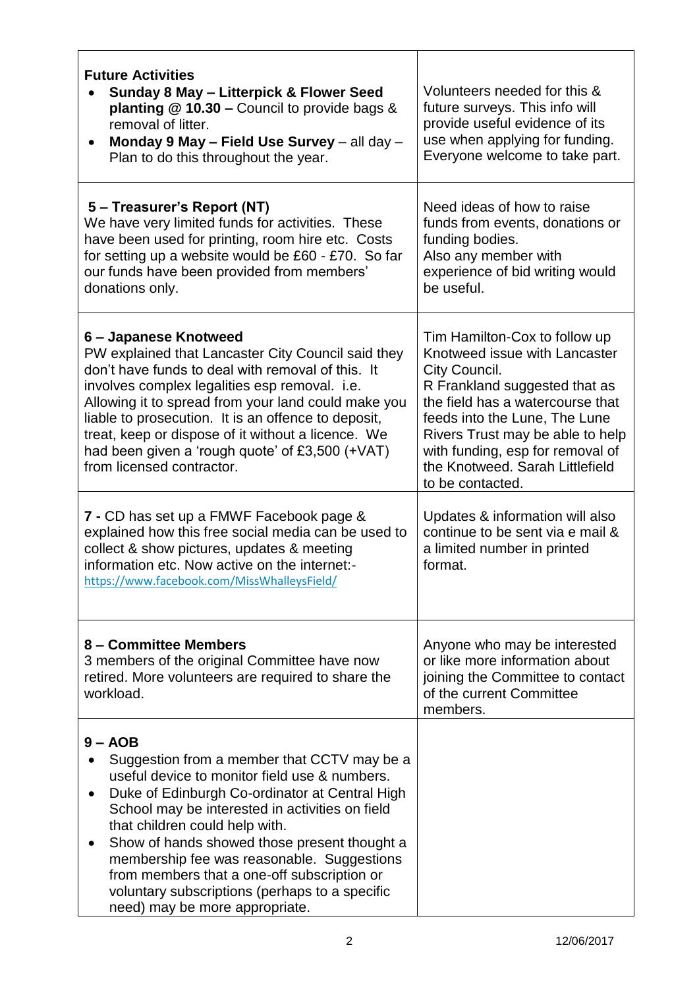| <b>Future Activities</b><br>Sunday 8 May - Litterpick & Flower Seed<br>planting $@$ 10.30 – Council to provide bags $&$<br>removal of litter.<br>Monday 9 May $-$ Field Use Survey $-$ all day $-$<br>٠<br>Plan to do this throughout the year.                                                                                                                                                                                                                                   | Volunteers needed for this &<br>future surveys. This info will<br>provide useful evidence of its<br>use when applying for funding.<br>Everyone welcome to take part.                                                                                                                                                 |
|-----------------------------------------------------------------------------------------------------------------------------------------------------------------------------------------------------------------------------------------------------------------------------------------------------------------------------------------------------------------------------------------------------------------------------------------------------------------------------------|----------------------------------------------------------------------------------------------------------------------------------------------------------------------------------------------------------------------------------------------------------------------------------------------------------------------|
| 5 – Treasurer's Report (NT)<br>We have very limited funds for activities. These<br>have been used for printing, room hire etc. Costs<br>for setting up a website would be £60 - £70. So far<br>our funds have been provided from members'<br>donations only.                                                                                                                                                                                                                      | Need ideas of how to raise<br>funds from events, donations or<br>funding bodies.<br>Also any member with<br>experience of bid writing would<br>be useful.                                                                                                                                                            |
| 6 - Japanese Knotweed<br>PW explained that Lancaster City Council said they<br>don't have funds to deal with removal of this. It<br>involves complex legalities esp removal. i.e.<br>Allowing it to spread from your land could make you<br>liable to prosecution. It is an offence to deposit,<br>treat, keep or dispose of it without a licence. We<br>had been given a 'rough quote' of £3,500 (+VAT)<br>from licensed contractor.                                             | Tim Hamilton-Cox to follow up<br>Knotweed issue with Lancaster<br>City Council.<br>R Frankland suggested that as<br>the field has a watercourse that<br>feeds into the Lune, The Lune<br>Rivers Trust may be able to help<br>with funding, esp for removal of<br>the Knotweed. Sarah Littlefield<br>to be contacted. |
| 7 - CD has set up a FMWF Facebook page &<br>explained how this free social media can be used to<br>collect & show pictures, updates & meeting<br>information etc. Now active on the internet:-<br>https://www.facebook.com/MissWhalleysField/                                                                                                                                                                                                                                     | Updates & information will also<br>continue to be sent via e mail &<br>a limited number in printed<br>format.                                                                                                                                                                                                        |
| 8 - Committee Members<br>3 members of the original Committee have now<br>retired. More volunteers are required to share the<br>workload.                                                                                                                                                                                                                                                                                                                                          | Anyone who may be interested<br>or like more information about<br>joining the Committee to contact<br>of the current Committee<br>members.                                                                                                                                                                           |
| $9 - AOB$<br>Suggestion from a member that CCTV may be a<br>useful device to monitor field use & numbers.<br>Duke of Edinburgh Co-ordinator at Central High<br>School may be interested in activities on field<br>that children could help with.<br>Show of hands showed those present thought a<br>membership fee was reasonable. Suggestions<br>from members that a one-off subscription or<br>voluntary subscriptions (perhaps to a specific<br>need) may be more appropriate. |                                                                                                                                                                                                                                                                                                                      |

┑